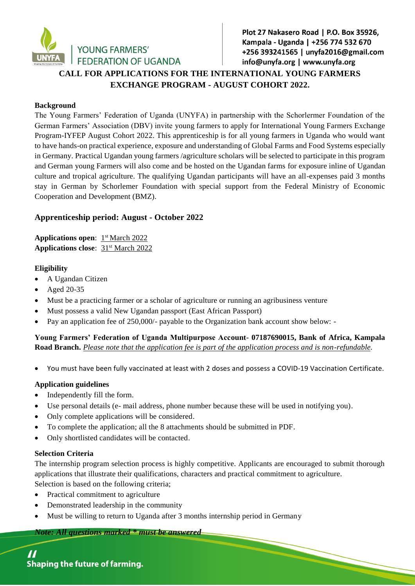

# Plot 27 Nakasero Road | P.O. Box 35926, Kampala - Uganda | +256 774 532 670 +256 393241565 | unyfa2016@gmail.com info@unyfa.org | www.unyfa.org **CALL FOR APPLICATIONS FOR THE INTERNATIONAL YOUNG FARMERS**

# **EXCHANGE PROGRAM - AUGUST COHORT 2022.**

#### **Background**

The Young Farmers' Federation of Uganda (UNYFA) in partnership with the Schorlermer Foundation of the German Farmers' Association (DBV) invite young farmers to apply for International Young Farmers Exchange Program-IYFEP August Cohort 2022. This apprenticeship is for all young farmers in Uganda who would want to have hands-on practical experience, exposure and understanding of Global Farms and Food Systems especially in Germany. Practical Ugandan young farmers /agriculture scholars will be selected to participate in this program and German young Farmers will also come and be hosted on the Ugandan farms for exposure inline of Ugandan culture and tropical agriculture. The qualifying Ugandan participants will have an all-expenses paid 3 months stay in German by Schorlemer Foundation with special support from the Federal Ministry of Economic Cooperation and Development (BMZ).

# **Apprenticeship period: August - October 2022**

Applications open:  $1<sup>st</sup> March 2022$ **Applications close:** 31<sup>st</sup> March 2022

#### **Eligibility**

- A Ugandan Citizen
- Aged 20-35
- Must be a practicing farmer or a scholar of agriculture or running an agribusiness venture
- Must possess a valid New Ugandan passport (East African Passport)
- Pay an application fee of 250,000/- payable to the Organization bank account show below: -

**Young Farmers' Federation of Uganda Multipurpose Account- 07187690015, Bank of Africa, Kampala Road Branch.** *Please note that the application fee is part of the application process and is non-refundable.*

You must have been fully vaccinated at least with 2 doses and possess a COVID-19 Vaccination Certificate.

### **Application guidelines**

- Independently fill the form.
- Use personal details (e- mail address, phone number because these will be used in notifying you).
- Only complete applications will be considered.
- To complete the application; all the 8 attachments should be submitted in PDF.
- Only shortlisted candidates will be contacted.

#### **Selection Criteria**

The internship program selection process is highly competitive. Applicants are encouraged to submit thorough applications that illustrate their qualifications, characters and practical commitment to agriculture. Selection is based on the following criteria;

- Practical commitment to agriculture
- Demonstrated leadership in the community
- Must be willing to return to Uganda after 3 months internship period in Germany

*Note: All questions marked \* must be answered*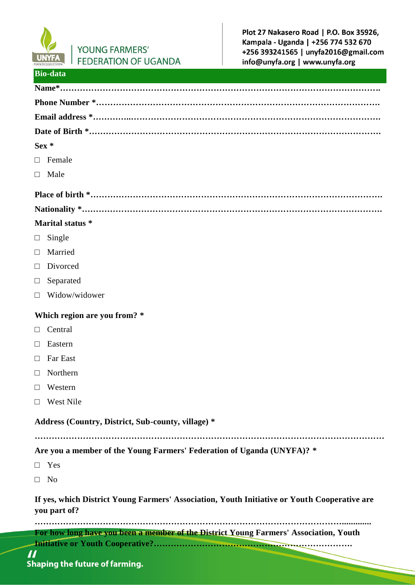

**Bio-data**

# YOUNG FARMERS' **FEDERATION OF UGANDA**

Plot 27 Nakasero Road | P.O. Box 35926, Kampala - Uganda | +256 774 532 670 +256 393241565 | unyfa2016@gmail.com info@unyfa.org | www.unyfa.org

| $\mathcal{L}(\mathcal{L}(\mathcal{L}))$ and $\mathcal{L}(\mathcal{L}(\mathcal{L}))$ and $\mathcal{L}(\mathcal{L}(\mathcal{L}))$ and $\mathcal{L}(\mathcal{L}(\mathcal{L}))$ |                                                                                       |
|-----------------------------------------------------------------------------------------------------------------------------------------------------------------------------|---------------------------------------------------------------------------------------|
|                                                                                                                                                                             |                                                                                       |
|                                                                                                                                                                             |                                                                                       |
|                                                                                                                                                                             |                                                                                       |
| Sex *                                                                                                                                                                       |                                                                                       |
|                                                                                                                                                                             | $\Box$ Female                                                                         |
|                                                                                                                                                                             | $\Box$ Male                                                                           |
|                                                                                                                                                                             |                                                                                       |
|                                                                                                                                                                             |                                                                                       |
| Marital status *                                                                                                                                                            |                                                                                       |
| $\Box$                                                                                                                                                                      | Single                                                                                |
| $\Box$                                                                                                                                                                      | Married                                                                               |
|                                                                                                                                                                             | $\Box$ Divorced                                                                       |
| $\Box$                                                                                                                                                                      | Separated                                                                             |
|                                                                                                                                                                             | $\Box$ Widow/widower                                                                  |
| Which region are you from? *                                                                                                                                                |                                                                                       |
|                                                                                                                                                                             | $\Box$ Central                                                                        |
| $\Box$                                                                                                                                                                      | Eastern                                                                               |
| $\Box$                                                                                                                                                                      | <b>Far East</b>                                                                       |
| $\Box$                                                                                                                                                                      | Northern                                                                              |
|                                                                                                                                                                             | $\Box$ Western                                                                        |
|                                                                                                                                                                             | $\Box$ West Nile                                                                      |
| Address (Country, District, Sub-county, village) *                                                                                                                          |                                                                                       |
|                                                                                                                                                                             |                                                                                       |
|                                                                                                                                                                             | Are you a member of the Young Farmers' Federation of Uganda (UNYFA)? *                |
|                                                                                                                                                                             | $\Box$ Yes                                                                            |
|                                                                                                                                                                             | $\Box$ No                                                                             |
| If yes, which District Young Farmers' Association, Youth Initiative or Youth Cooperative are<br>you part of?                                                                |                                                                                       |
|                                                                                                                                                                             | For how long have you been a member of the District Young Farmers' Association, Youth |
|                                                                                                                                                                             |                                                                                       |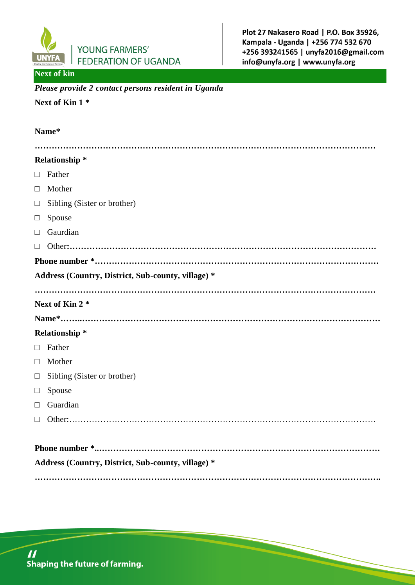

### **Next of kin**

#### *Please provide 2 contact persons resident in Uganda*

# **Next of Kin 1 \***

# **Name\* ………………………………………………………………………………………………………… Relationship \*** □ Father □ Mother  $\Box$  Sibling (Sister or brother) □ Spouse □ Gaurdian □ Other**:……………………………………………………………………………………………… Phone number \*………………………………………………………………………………………. Address (Country, District, Sub-county, village) \* ………………………………………………………………………………………………………… Next of Kin 2 \* Name\*……..…………………………………………………………………………………………… Relationship \*** □ Father □ Mother  $\Box$  Sibling (Sister or brother) □ Spouse □ Guardian □ Other:……………………………………………………………………………………………… **Phone number \*..……………………………………………………………………………………… Address (Country, District, Sub-county, village) \* …………………………………………………………………………………………………………..**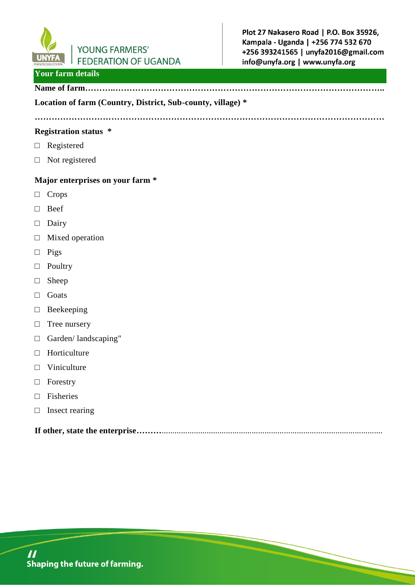

# **Your farm details**

# **Name of farm………..…………………………………………………………………………………..**

#### **Location of farm (Country, District, Sub-county, village) \***

**……………………………………………………………………………………………………………**

#### **Registration status \***

- □ Registered
- □ Not registered

#### **Major enterprises on your farm \***

- □ Crops
- □ Beef
- □ Dairy
- □ Mixed operation
- □ Pigs
- □ Poultry
- □ Sheep
- □ Goats
- □ Beekeeping
- □ Tree nursery
- □ Garden/ landscaping"
- □ Horticulture
- □ Viniculture
- □ Forestry
- □ Fisheries
- □ Insect rearing

**If other, state the enterprise………………………………………………………………………………………………….**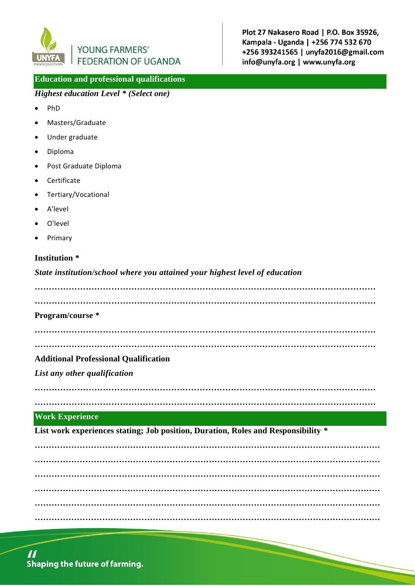

#### **Education and professional qualifications**

### *Highest education Level \* (Select one)*

- PhD
- Masters/Graduate
- Under graduate
- Diploma
- Post Graduate Diploma
- Certificate
- Tertiary/Vocational
- A'level
- O'level
- Primary

### **Institution \***

*State institution/school where you attained your highest level of education*

**………………………………………………………………………………………………………… …………………………………………………………………………………………………………**

#### **Program/course \***

**………………………………………………………………………………………………………… …………………………………………………………………………………………………………**

#### **Additional Professional Qualification**

*List any other qualification*

**…………………………………………………………………………………………………………**

## **…………………………………………………………………………………………………………**

#### **Work Experience**

**List work experiences stating; Job position, Duration, Roles and Responsibility \***

**…………………………………………………………………………………………………………… …………………………………………………………………………………………………………… …………………………………………………………………………………………………………… …………………………………………………………………………………………………………… …………………………………………………………………………………………………………… ……………………………………………………………………………………………………………**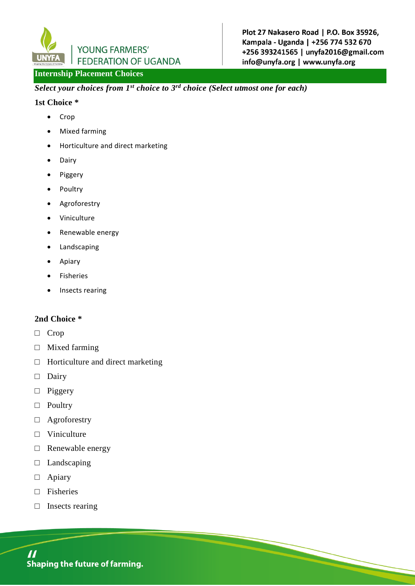

# **Internship Placement Choices**

*Select your choices from 1st choice to 3 rd choice (Select utmost one for each)*

#### **1st Choice \***

- Crop
- Mixed farming
- Horticulture and direct marketing
- Dairy
- Piggery
- Poultry
- Agroforestry
- Viniculture
- Renewable energy
- Landscaping
- Apiary
- Fisheries
- Insects rearing

#### **2nd Choice \***

- □ Crop
- □ Mixed farming
- $\Box$  Horticulture and direct marketing
- □ Dairy
- □ Piggery
- □ Poultry
- □ Agroforestry
- □ Viniculture
- □ Renewable energy
- □ Landscaping
- □ Apiary
- □ Fisheries
- □ Insects rearing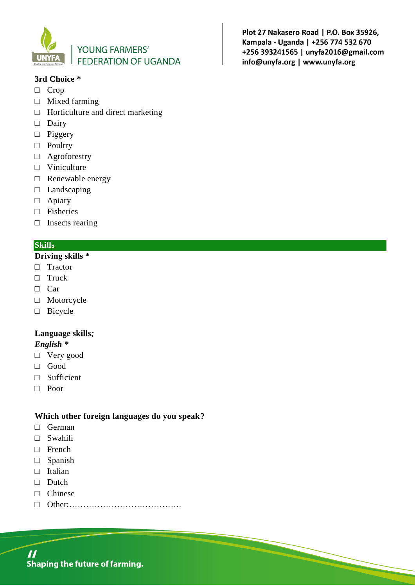

#### **3rd Choice \***

- □ Crop
- □ Mixed farming
- $\Box$  Horticulture and direct marketing
- □ Dairy
- □ Piggery
- □ Poultry
- □ Agroforestry
- □ Viniculture
- □ Renewable energy
- □ Landscaping
- □ Apiary
- □ Fisheries
- □ Insects rearing

### **Skills**

#### **Driving skills \***

- □ Tractor
- □ Truck
- □ Car
- □ Motorcycle
- □ Bicycle

### **Language skills***;*

#### *English \**

- □ Very good
- □ Good
- □ Sufficient
- □ Poor

### **Which other foreign languages do you speak?**

- □ German
- □ Swahili
- □ French
- □ Spanish
- □ Italian
- □ Dutch
- □ Chinese
- □ Other:………………………………….

Plot 27 Nakasero Road | P.O. Box 35926, Kampala - Uganda | +256 774 532 670 +256 393241565 | unyfa2016@gmail.com info@unyfa.org | www.unyfa.org